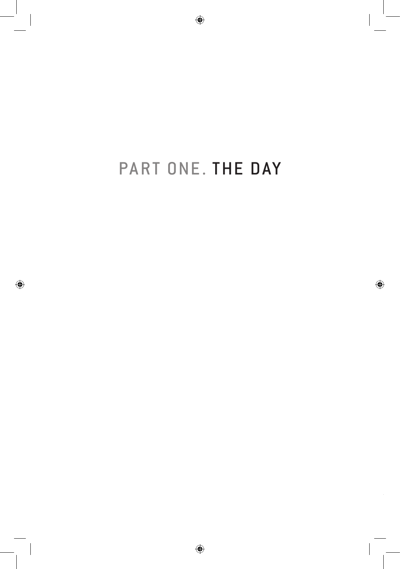PART ONE. THE DAY

 $\bigoplus$ 

 $\bigoplus$ 

 $\bigoplus$ 

 $\bigoplus$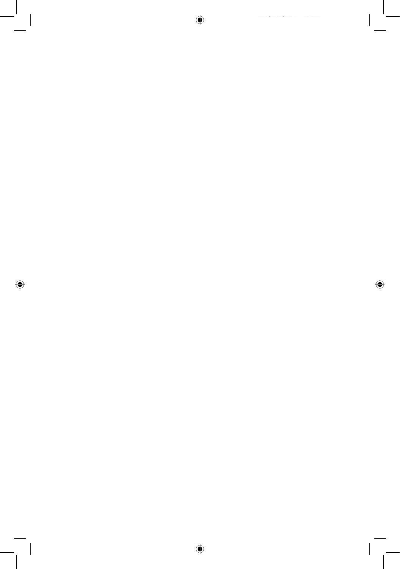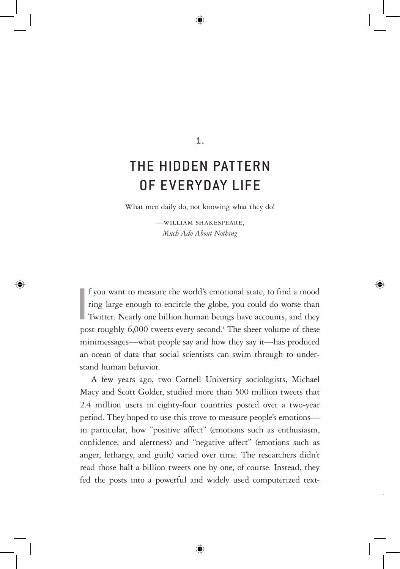**1.**

⊕

# THE HIDDEN PATTERN OF EVERYDAY LIFE

What men daily do, not knowing what they do!

—William Shakespeare, *Much Ado About Nothing*

 $\frac{1}{2}$ f you want to measure the world's emotional state, to find a mood ring large enough to encircle the globe, you could do worse than Twitter. Nearly one billion human beings have accounts, and they post roughly 6,000 tweets every second.<sup>1</sup> The sheer volume of these minimessages—what people say and how they say it—has produced an ocean of data that social scientists can swim through to understand human behavior.

⊕

⊕

A few years ago, two Cornell University sociologists, Michael Macy and Scott Golder, studied more than 500 million tweets that 2.4 million users in eighty-four countries posted over a two-year period. They hoped to use this trove to measure people's emotions in particular, how "positive affect" (emotions such as enthusiasm, confidence, and alertness) and "negative affect" (emotions such as anger, lethargy, and guilt) varied over time. The researchers didn't read those half a billion tweets one by one, of course. Instead, they fed the posts into a powerful and widely used computerized text-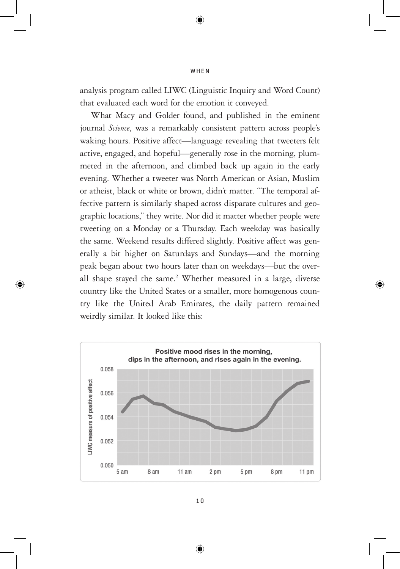⊕

analysis program called LIWC (Linguistic Inquiry and Word Count) that evaluated each word for the emotion it conveyed.

What Macy and Golder found, and published in the eminent journal *Science*, was a remarkably consistent pattern across people's waking hours. Positive affect—language revealing that tweeters felt active, engaged, and hopeful—generally rose in the morning, plummeted in the afternoon, and climbed back up again in the early evening. Whether a tweeter was North American or Asian, Muslim or atheist, black or white or brown, didn't matter. "The temporal affective pattern is similarly shaped across disparate cultures and geographic locations," they write. Nor did it matter whether people were tweeting on a Monday or a Thursday. Each weekday was basically the same. Weekend results differed slightly. Positive affect was generally a bit higher on Saturdays and Sundays—and the morning peak began about two hours later than on weekdays—but the overall shape stayed the same.<sup>2</sup> Whether measured in a large, diverse country like the United States or a smaller, more homogenous country like the United Arab Emirates, the daily pattern remained weirdly similar. It looked like this:

⊕

⊕

![](_page_3_Figure_3.jpeg)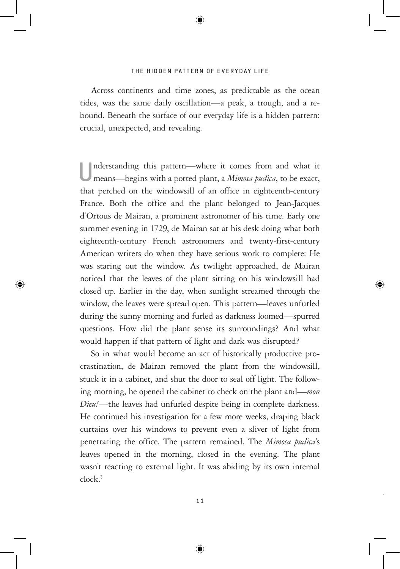⊕

Across continents and time zones, as predictable as the ocean tides, was the same daily oscillation—a peak, a trough, and a rebound. Beneath the surface of our everyday life is a hidden pattern: crucial, unexpected, and revealing.

Inderstanding this pattern—where it comes from and what it means—begins with a potted plant, a *Mimosa pudica*, to be exact, that perched on the windowsill of an office in eighteenth-century France. Both the office and the plant belonged to Jean-Jacques d'Ortous de Mairan, a prominent astronomer of his time. Early one summer evening in 1729, de Mairan sat at his desk doing what both eighteenth-century French astronomers and twenty-first-century American writers do when they have serious work to complete: He was staring out the window. As twilight approached, de Mairan noticed that the leaves of the plant sitting on his windowsill had closed up. Earlier in the day, when sunlight streamed through the window, the leaves were spread open. This pattern—leaves unfurled during the sunny morning and furled as darkness loomed—spurred questions. How did the plant sense its surroundings? And what would happen if that pattern of light and dark was disrupted?

⊕

⊕

So in what would become an act of historically productive procrastination, de Mairan removed the plant from the windowsill, stuck it in a cabinet, and shut the door to seal off light. The following morning, he opened the cabinet to check on the plant and—*mon Dieu!*—the leaves had unfurled despite being in complete darkness. He continued his investigation for a few more weeks, draping black curtains over his windows to prevent even a sliver of light from penetrating the office. The pattern remained. The *Mimosa pudica*'s leaves opened in the morning, closed in the evening. The plant wasn't reacting to external light. It was abiding by its own internal clock.3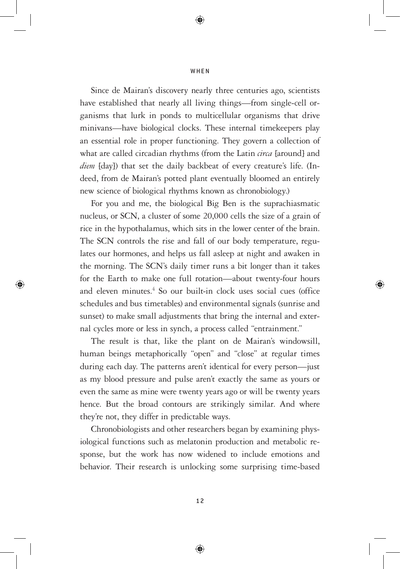⊕

Since de Mairan's discovery nearly three centuries ago, scientists have established that nearly all living things—from single-cell organisms that lurk in ponds to multicellular organisms that drive minivans—have biological clocks. These internal timekeepers play an essential role in proper functioning. They govern a collection of what are called circadian rhythms (from the Latin *circa* [around] and *diem* [day]) that set the daily backbeat of every creature's life. (Indeed, from de Mairan's potted plant eventually bloomed an entirely new science of biological rhythms known as chronobiology.)

For you and me, the biological Big Ben is the suprachiasmatic nucleus, or SCN, a cluster of some 20,000 cells the size of a grain of rice in the hypothalamus, which sits in the lower center of the brain. The SCN controls the rise and fall of our body temperature, regulates our hormones, and helps us fall asleep at night and awaken in the morning. The SCN's daily timer runs a bit longer than it takes for the Earth to make one full rotation—about twenty-four hours and eleven minutes.<sup>4</sup> So our built-in clock uses social cues (office schedules and bus timetables) and environmental signals (sunrise and sunset) to make small adjustments that bring the internal and external cycles more or less in synch, a process called "entrainment."

⊕

⊕

The result is that, like the plant on de Mairan's windowsill, human beings metaphorically "open" and "close" at regular times during each day. The patterns aren't identical for every person—just as my blood pressure and pulse aren't exactly the same as yours or even the same as mine were twenty years ago or will be twenty years hence. But the broad contours are strikingly similar. And where they're not, they differ in predictable ways.

Chronobiologists and other researchers began by examining physiological functions such as melatonin production and metabolic response, but the work has now widened to include emotions and behavior. Their research is unlocking some surprising time-based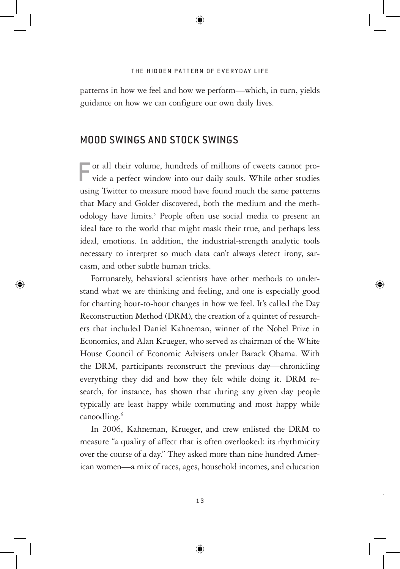⊕

patterns in how we feel and how we perform—which, in turn, yields guidance on how we can configure our own daily lives.

# MOOD SWINGS AND STOCK SWINGS

⊕

For all their volume, hundreds of millions of tweets cannot provide a perfect window into our daily souls. While other studies using Twitter to measure mood have found much the same patterns that Macy and Golder discovered, both the medium and the methodology have limits.<sup>5</sup> People often use social media to present an ideal face to the world that might mask their true, and perhaps less ideal, emotions. In addition, the industrial-strength analytic tools necessary to interpret so much data can't always detect irony, sarcasm, and other subtle human tricks.

Fortunately, behavioral scientists have other methods to understand what we are thinking and feeling, and one is especially good for charting hour-to-hour changes in how we feel. It's called the Day Reconstruction Method (DRM), the creation of a quintet of researchers that included Daniel Kahneman, winner of the Nobel Prize in Economics, and Alan Krueger, who served as chairman of the White House Council of Economic Advisers under Barack Obama. With the DRM, participants reconstruct the previous day—chronicling everything they did and how they felt while doing it. DRM research, for instance, has shown that during any given day people typically are least happy while commuting and most happy while canoodling.<sup>6</sup>

⊕

In 2006, Kahneman, Krueger, and crew enlisted the DRM to measure "a quality of affect that is often overlooked: its rhythmicity over the course of a day." They asked more than nine hundred American women—a mix of races, ages, household incomes, and education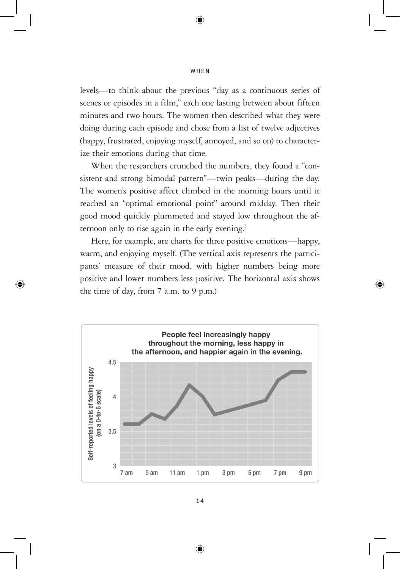⊕

levels—to think about the previous "day as a continuous series of scenes or episodes in a film," each one lasting between about fifteen minutes and two hours. The women then described what they were doing during each episode and chose from a list of twelve adjectives (happy, frustrated, enjoying myself, annoyed, and so on) to characterize their emotions during that time.

When the researchers crunched the numbers, they found a "consistent and strong bimodal pattern"—twin peaks—during the day. The women's positive affect climbed in the morning hours until it reached an "optimal emotional point" around midday. Then their good mood quickly plummeted and stayed low throughout the afternoon only to rise again in the early evening.<sup>7</sup>

Here, for example, are charts for three positive emotions—happy, warm, and enjoying myself. (The vertical axis represents the participants' measure of their mood, with higher numbers being more positive and lower numbers less positive. The horizontal axis shows the time of day, from 7 a.m. to 9 p.m.)

⊕

⊕

![](_page_7_Figure_4.jpeg)

1 4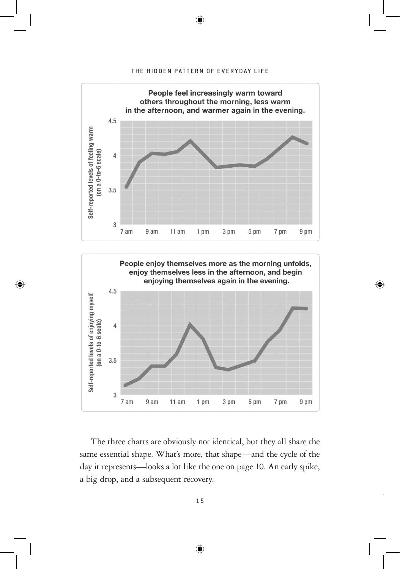⊕

![](_page_8_Figure_1.jpeg)

![](_page_8_Figure_2.jpeg)

⊕

 $\bigoplus$ 

The three charts are obviously not identical, but they all share the same essential shape. What's more, that shape—and the cycle of the day it represents—looks a lot like the one on page 10. An early spike, a big drop, and a subsequent recovery.

 $\bigoplus$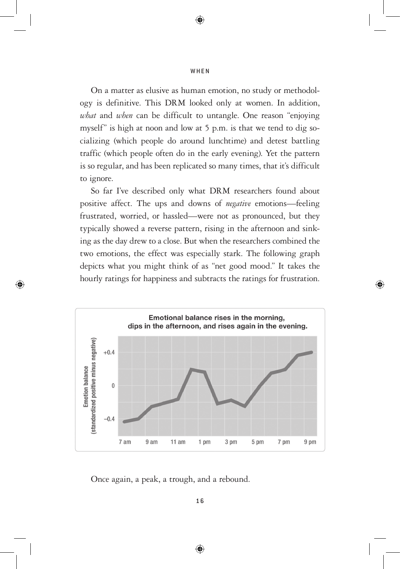⊕

On a matter as elusive as human emotion, no study or methodology is definitive. This DRM looked only at women. In addition, *what* and *when* can be difficult to untangle. One reason "enjoying myself" is high at noon and low at 5 p.m. is that we tend to dig socializing (which people do around lunchtime) and detest battling traffic (which people often do in the early evening). Yet the pattern is so regular, and has been replicated so many times, that it's difficult to ignore.

So far I've described only what DRM researchers found about positive affect. The ups and downs of *negative* emotions—feeling frustrated, worried, or hassled—were not as pronounced, but they typically showed a reverse pattern, rising in the afternoon and sinking as the day drew to a close. But when the researchers combined the two emotions, the effect was especially stark. The following graph depicts what you might think of as "net good mood." It takes the hourly ratings for happiness and subtracts the ratings for frustration.

↔

![](_page_9_Figure_3.jpeg)

Once again, a peak, a trough, and a rebound.

 $\bigoplus$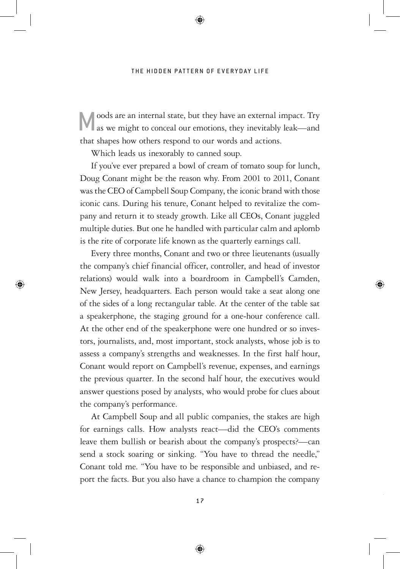⊕

oods are an internal state, but they have an external impact. Try as we might to conceal our emotions, they inevitably leak—and that shapes how others respond to our words and actions.

Which leads us inexorably to canned soup.

⊕

If you've ever prepared a bowl of cream of tomato soup for lunch, Doug Conant might be the reason why. From 2001 to 2011, Conant was the CEO of Campbell Soup Company, the iconic brand with those iconic cans. During his tenure, Conant helped to revitalize the company and return it to steady growth. Like all CEOs, Conant juggled multiple duties. But one he handled with particular calm and aplomb is the rite of corporate life known as the quarterly earnings call.

Every three months, Conant and two or three lieutenants (usually the company's chief financial officer, controller, and head of investor relations) would walk into a boardroom in Campbell's Camden, New Jersey, headquarters. Each person would take a seat along one of the sides of a long rectangular table. At the center of the table sat a speakerphone, the staging ground for a one-hour conference call. At the other end of the speakerphone were one hundred or so investors, journalists, and, most important, stock analysts, whose job is to assess a company's strengths and weaknesses. In the first half hour, Conant would report on Campbell's revenue, expenses, and earnings the previous quarter. In the second half hour, the executives would answer questions posed by analysts, who would probe for clues about the company's performance.

⊕

At Campbell Soup and all public companies, the stakes are high for earnings calls. How analysts react—did the CEO's comments leave them bullish or bearish about the company's prospects?—can send a stock soaring or sinking. "You have to thread the needle," Conant told me. "You have to be responsible and unbiased, and report the facts. But you also have a chance to champion the company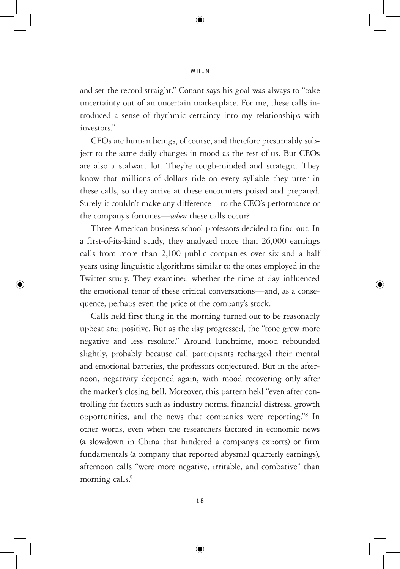and set the record straight." Conant says his goal was always to "take uncertainty out of an uncertain marketplace. For me, these calls introduced a sense of rhythmic certainty into my relationships with investors."

CEOs are human beings, of course, and therefore presumably subject to the same daily changes in mood as the rest of us. But CEOs are also a stalwart lot. They're tough-minded and strategic. They know that millions of dollars ride on every syllable they utter in these calls, so they arrive at these encounters poised and prepared. Surely it couldn't make any difference—to the CEO's performance or the company's fortunes—*when* these calls occur?

Three American business school professors decided to find out. In a first-of-its-kind study, they analyzed more than 26,000 earnings calls from more than 2,100 public companies over six and a half years using linguistic algorithms similar to the ones employed in the Twitter study. They examined whether the time of day influenced the emotional tenor of these critical conversations—and, as a consequence, perhaps even the price of the company's stock.

⊕

⊕

Calls held first thing in the morning turned out to be reasonably upbeat and positive. But as the day progressed, the "tone grew more negative and less resolute." Around lunchtime, mood rebounded slightly, probably because call participants recharged their mental and emotional batteries, the professors conjectured. But in the afternoon, negativity deepened again, with mood recovering only after the market's closing bell. Moreover, this pattern held "even after controlling for factors such as industry norms, financial distress, growth opportunities, and the news that companies were reporting."8 In other words, even when the researchers factored in economic news (a slowdown in China that hindered a company's exports) or firm fundamentals (a company that reported abysmal quarterly earnings), afternoon calls "were more negative, irritable, and combative" than morning calls.<sup>9</sup>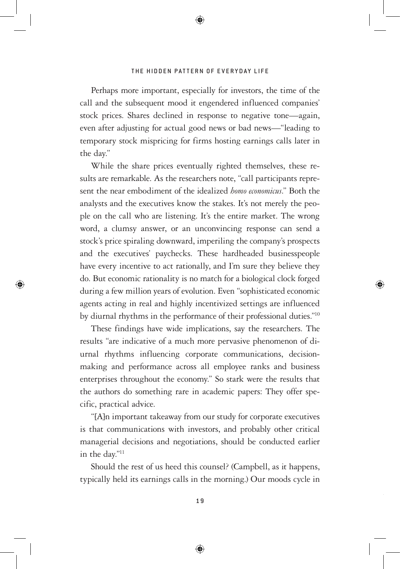⊕

Perhaps more important, especially for investors, the time of the call and the subsequent mood it engendered influenced companies' stock prices. Shares declined in response to negative tone—again, even after adjusting for actual good news or bad news—"leading to temporary stock mispricing for firms hosting earnings calls later in the day."

While the share prices eventually righted themselves, these results are remarkable. As the researchers note, "call participants represent the near embodiment of the idealized *homo economicus*." Both the analysts and the executives know the stakes. It's not merely the people on the call who are listening. It's the entire market. The wrong word, a clumsy answer, or an unconvincing response can send a stock's price spiraling downward, imperiling the company's prospects and the executives' paychecks. These hardheaded businesspeople have every incentive to act rationally, and I'm sure they believe they do. But economic rationality is no match for a biological clock forged during a few million years of evolution. Even "sophisticated economic agents acting in real and highly incentivized settings are influenced by diurnal rhythms in the performance of their professional duties."10

⊕

⊕

These findings have wide implications, say the researchers. The results "are indicative of a much more pervasive phenomenon of diurnal rhythms influencing corporate communications, decisionmaking and performance across all employee ranks and business enterprises throughout the economy." So stark were the results that the authors do something rare in academic papers: They offer specific, practical advice.

"[A]n important takeaway from our study for corporate executives is that communications with investors, and probably other critical managerial decisions and negotiations, should be conducted earlier in the day."11

Should the rest of us heed this counsel? (Campbell, as it happens, typically held its earnings calls in the morning.) Our moods cycle in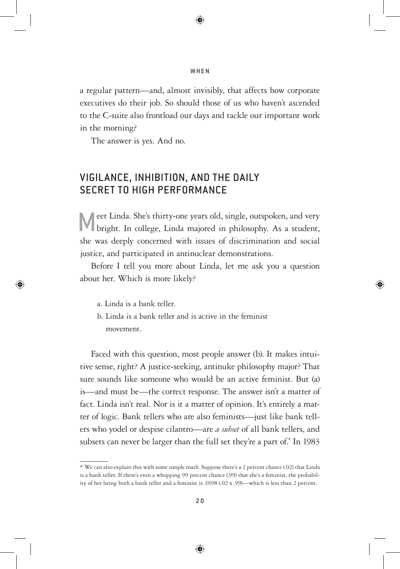⊕

a regular pattern—and, almost invisibly, that affects how corporate executives do their job. So should those of us who haven't ascended to the C-suite also frontload our days and tackle our important work in the morning?

The answer is yes. And no.

# VIGILANCE, INHIBITION, AND THE DAILY SECRET TO HIGH PERFORMANCE

eet Linda. She's thirty-one years old, single, outspoken, and very bright. In college, Linda majored in philosophy. As a student, she was deeply concerned with issues of discrimination and social justice, and participated in antinuclear demonstrations.

Before I tell you more about Linda, let me ask you a question about her. Which is more likely?

⊕

a. Linda is a bank teller.

⊕

b. Linda is a bank teller and is active in the feminist movement.

Faced with this question, most people answer (b). It makes intuitive sense, right? A justice-seeking, antinuke philosophy major? That sure sounds like someone who would be an active feminist. But (a) is—and must be—the correct response. The answer isn't a matter of fact. Linda isn't real. Nor is it a matter of opinion. It's entirely a matter of logic. Bank tellers who are also feminists—just like bank tellers who yodel or despise cilantro—are *a subset* of all bank tellers, and subsets can never be larger than the full set they're a part of.\* In 1983

<sup>\*</sup> We can also explain this with some simple math. Suppose there's a 2 percent chance (.02) that Linda is a bank teller. If there's even a whopping 99 percent chance (.99) that she's a feminist, the probability of her being both a bank teller and a feminist is .0198 (.02 x .99)—which is less than 2 percent.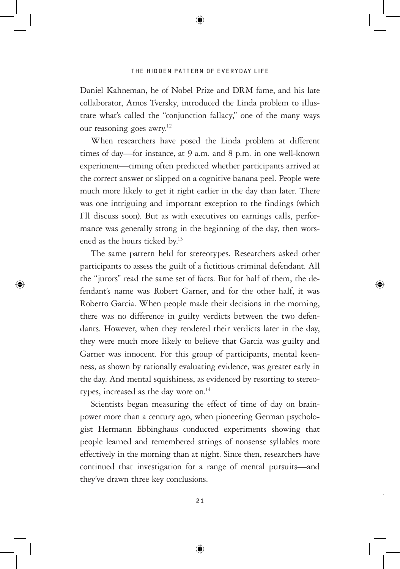⊕

Daniel Kahneman, he of Nobel Prize and DRM fame, and his late collaborator, Amos Tversky, introduced the Linda problem to illustrate what's called the "conjunction fallacy," one of the many ways our reasoning goes awry.<sup>12</sup>

When researchers have posed the Linda problem at different times of day—for instance, at 9 a.m. and 8 p.m. in one well-known experiment—timing often predicted whether participants arrived at the correct answer or slipped on a cognitive banana peel. People were much more likely to get it right earlier in the day than later. There was one intriguing and important exception to the findings (which I'll discuss soon). But as with executives on earnings calls, performance was generally strong in the beginning of the day, then worsened as the hours ticked by.13

The same pattern held for stereotypes. Researchers asked other participants to assess the guilt of a fictitious criminal defendant. All the "jurors" read the same set of facts. But for half of them, the defendant's name was Robert Garner, and for the other half, it was Roberto Garcia. When people made their decisions in the morning, there was no difference in guilty verdicts between the two defendants. However, when they rendered their verdicts later in the day, they were much more likely to believe that Garcia was guilty and Garner was innocent. For this group of participants, mental keenness, as shown by rationally evaluating evidence, was greater early in the day. And mental squishiness, as evidenced by resorting to stereotypes, increased as the day wore on.<sup>14</sup>

⊕

⊕

Scientists began measuring the effect of time of day on brainpower more than a century ago, when pioneering German psychologist Hermann Ebbinghaus conducted experiments showing that people learned and remembered strings of nonsense syllables more effectively in the morning than at night. Since then, researchers have continued that investigation for a range of mental pursuits—and they've drawn three key conclusions.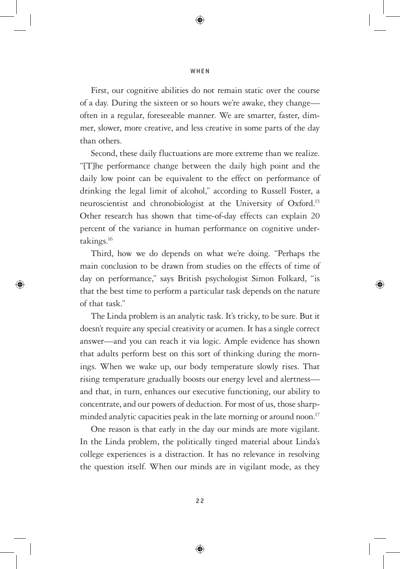⊕

First, our cognitive abilities do not remain static over the course of a day. During the sixteen or so hours we're awake, they change often in a regular, foreseeable manner. We are smarter, faster, dimmer, slower, more creative, and less creative in some parts of the day than others.

Second, these daily fluctuations are more extreme than we realize. "[T]he performance change between the daily high point and the daily low point can be equivalent to the effect on performance of drinking the legal limit of alcohol," according to Russell Foster, a neuroscientist and chronobiologist at the University of Oxford.15 Other research has shown that time-of-day effects can explain 20 percent of the variance in human performance on cognitive undertakings.16

Third, how we do depends on what we're doing. "Perhaps the main conclusion to be drawn from studies on the effects of time of day on performance," says British psychologist Simon Folkard, "is that the best time to perform a particular task depends on the nature of that task."

⊕

⊕

The Linda problem is an analytic task. It's tricky, to be sure. But it doesn't require any special creativity or acumen. It has a single correct answer—and you can reach it via logic. Ample evidence has shown that adults perform best on this sort of thinking during the mornings. When we wake up, our body temperature slowly rises. That rising temperature gradually boosts our energy level and alertness and that, in turn, enhances our executive functioning, our ability to concentrate, and our powers of deduction. For most of us, those sharpminded analytic capacities peak in the late morning or around noon.<sup>17</sup>

One reason is that early in the day our minds are more vigilant. In the Linda problem, the politically tinged material about Linda's college experiences is a distraction. It has no relevance in resolving the question itself. When our minds are in vigilant mode, as they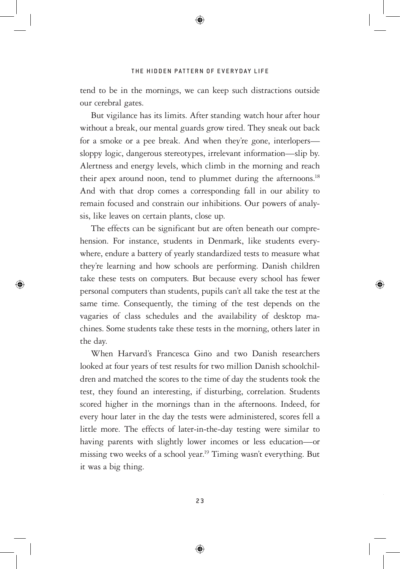⊕

tend to be in the mornings, we can keep such distractions outside our cerebral gates.

But vigilance has its limits. After standing watch hour after hour without a break, our mental guards grow tired. They sneak out back for a smoke or a pee break. And when they're gone, interlopers sloppy logic, dangerous stereotypes, irrelevant information—slip by. Alertness and energy levels, which climb in the morning and reach their apex around noon, tend to plummet during the afternoons.<sup>18</sup> And with that drop comes a corresponding fall in our ability to remain focused and constrain our inhibitions. Our powers of analysis, like leaves on certain plants, close up.

The effects can be significant but are often beneath our comprehension. For instance, students in Denmark, like students everywhere, endure a battery of yearly standardized tests to measure what they're learning and how schools are performing. Danish children take these tests on computers. But because every school has fewer personal computers than students, pupils can't all take the test at the same time. Consequently, the timing of the test depends on the vagaries of class schedules and the availability of desktop machines. Some students take these tests in the morning, others later in the day.

⊕

⊕

When Harvard's Francesca Gino and two Danish researchers looked at four years of test results for two million Danish schoolchildren and matched the scores to the time of day the students took the test, they found an interesting, if disturbing, correlation. Students scored higher in the mornings than in the afternoons. Indeed, for every hour later in the day the tests were administered, scores fell a little more. The effects of later-in-the-day testing were similar to having parents with slightly lower incomes or less education—or missing two weeks of a school year.<sup>19</sup> Timing wasn't everything. But it was a big thing.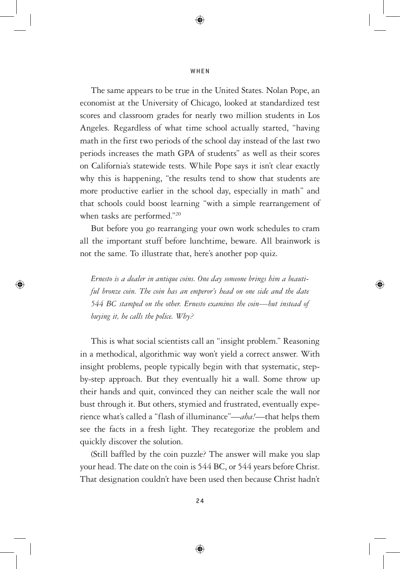⊕

The same appears to be true in the United States. Nolan Pope, an economist at the University of Chicago, looked at standardized test scores and classroom grades for nearly two million students in Los Angeles. Regardless of what time school actually started, "having math in the first two periods of the school day instead of the last two periods increases the math GPA of students" as well as their scores on California's statewide tests. While Pope says it isn't clear exactly why this is happening, "the results tend to show that students are more productive earlier in the school day, especially in math" and that schools could boost learning "with a simple rearrangement of when tasks are performed."<sup>20</sup>

But before you go rearranging your own work schedules to cram all the important stuff before lunchtime, beware. All brainwork is not the same. To illustrate that, here's another pop quiz.

*Ernesto is a dealer in antique coins. One day someone brings him a beautiful bronze coin. The coin has an emperor's head on one side and the date 544 BC stamped on the other. Ernesto examines the coin—but instead of buying it, he calls the police. Why?*

⊕

⊕

This is what social scientists call an "insight problem." Reasoning in a methodical, algorithmic way won't yield a correct answer. With insight problems, people typically begin with that systematic, stepby-step approach. But they eventually hit a wall. Some throw up their hands and quit, convinced they can neither scale the wall nor bust through it. But others, stymied and frustrated, eventually experience what's called a "flash of illuminance"—*aha!*—that helps them see the facts in a fresh light. They recategorize the problem and quickly discover the solution.

(Still baffled by the coin puzzle? The answer will make you slap your head. The date on the coin is 544 BC, or 544 years before Christ. That designation couldn't have been used then because Christ hadn't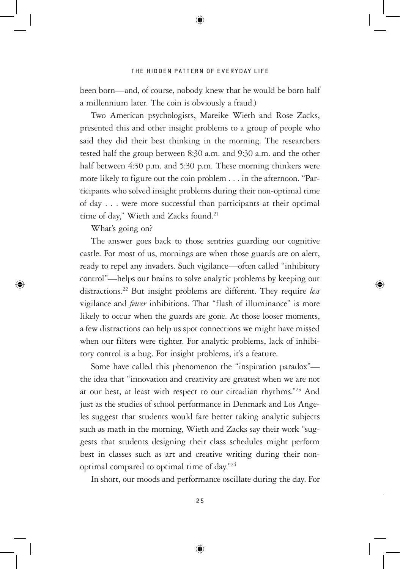⊕

been born—and, of course, nobody knew that he would be born half a millennium later. The coin is obviously a fraud.)

Two American psychologists, Mareike Wieth and Rose Zacks, presented this and other insight problems to a group of people who said they did their best thinking in the morning. The researchers tested half the group between 8:30 a.m. and 9:30 a.m. and the other half between 4:30 p.m. and 5:30 p.m. These morning thinkers were more likely to figure out the coin problem . . . in the afternoon. "Participants who solved insight problems during their non-optimal time of day . . . were more successful than participants at their optimal time of day," Wieth and Zacks found.<sup>21</sup>

What's going on?

⊕

The answer goes back to those sentries guarding our cognitive castle. For most of us, mornings are when those guards are on alert, ready to repel any invaders. Such vigilance—often called "inhibitory control"—helps our brains to solve analytic problems by keeping out distractions.22 But insight problems are different. They require *less* vigilance and *fewer* inhibitions. That "flash of illuminance" is more likely to occur when the guards are gone. At those looser moments, a few distractions can help us spot connections we might have missed when our filters were tighter. For analytic problems, lack of inhibitory control is a bug. For insight problems, it's a feature.

⊕

Some have called this phenomenon the "inspiration paradox" the idea that "innovation and creativity are greatest when we are not at our best, at least with respect to our circadian rhythms."23 And just as the studies of school performance in Denmark and Los Angeles suggest that students would fare better taking analytic subjects such as math in the morning, Wieth and Zacks say their work "suggests that students designing their class schedules might perform best in classes such as art and creative writing during their nonoptimal compared to optimal time of day."24

In short, our moods and performance oscillate during the day. For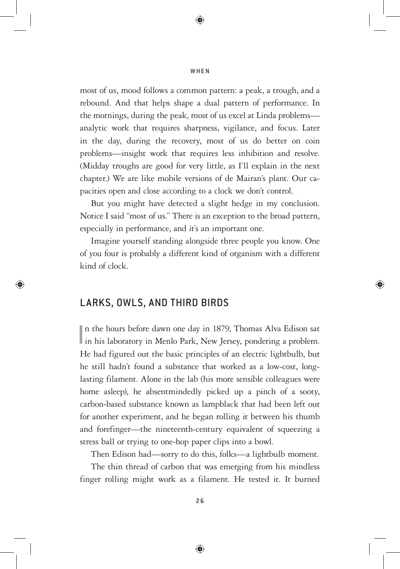⊕

most of us, mood follows a common pattern: a peak, a trough, and a rebound. And that helps shape a dual pattern of performance. In the mornings, during the peak, most of us excel at Linda problems analytic work that requires sharpness, vigilance, and focus. Later in the day, during the recovery, most of us do better on coin problems—insight work that requires less inhibition and resolve. (Midday troughs are good for very little, as I'll explain in the next chapter.) We are like mobile versions of de Mairan's plant. Our capacities open and close according to a clock we don't control.

But you might have detected a slight hedge in my conclusion. Notice I said "most of us." There is an exception to the broad pattern, especially in performance, and it's an important one.

Imagine yourself standing alongside three people you know. One of you four is probably a different kind of organism with a different kind of clock.

⊕

# LARKS, OWLS, AND THIRD BIRDS

⊕

In the hours before dawn one day in 1879, Thomas Alva Edison sat in his laboratory in Menlo Park, New Jersey, pondering a problem. n the hours before dawn one day in 1879, Thomas Alva Edison sat He had figured out the basic principles of an electric lightbulb, but he still hadn't found a substance that worked as a low-cost, longlasting filament. Alone in the lab (his more sensible colleagues were home asleep), he absentmindedly picked up a pinch of a sooty, carbon-based substance known as lampblack that had been left out for another experiment, and he began rolling it between his thumb and forefinger—the nineteenth-century equivalent of squeezing a stress ball or trying to one-hop paper clips into a bowl.

Then Edison had—sorry to do this, folks—a lightbulb moment.

The thin thread of carbon that was emerging from his mindless finger rolling might work as a filament. He tested it. It burned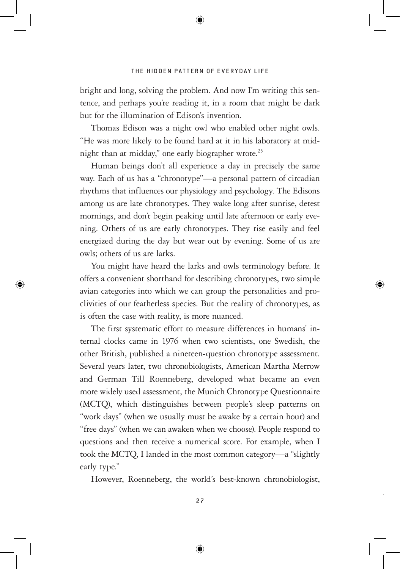⊕

bright and long, solving the problem. And now I'm writing this sentence, and perhaps you're reading it, in a room that might be dark but for the illumination of Edison's invention.

Thomas Edison was a night owl who enabled other night owls. "He was more likely to be found hard at it in his laboratory at midnight than at midday," one early biographer wrote.<sup>25</sup>

Human beings don't all experience a day in precisely the same way. Each of us has a "chronotype"—a personal pattern of circadian rhythms that influences our physiology and psychology. The Edisons among us are late chronotypes. They wake long after sunrise, detest mornings, and don't begin peaking until late afternoon or early evening. Others of us are early chronotypes. They rise easily and feel energized during the day but wear out by evening. Some of us are owls; others of us are larks.

You might have heard the larks and owls terminology before. It offers a convenient shorthand for describing chronotypes, two simple avian categories into which we can group the personalities and proclivities of our featherless species. But the reality of chronotypes, as is often the case with reality, is more nuanced.

⊕

⊕

The first systematic effort to measure differences in humans' internal clocks came in 1976 when two scientists, one Swedish, the other British, published a nineteen-question chronotype assessment. Several years later, two chronobiologists, American Martha Merrow and German Till Roenneberg, developed what became an even more widely used assessment, the Munich Chronotype Questionnaire (MCTQ), which distinguishes between people's sleep patterns on "work days" (when we usually must be awake by a certain hour) and "free days" (when we can awaken when we choose). People respond to questions and then receive a numerical score. For example, when I took the MCTQ, I landed in the most common category—a "slightly early type."

However, Roenneberg, the world's best-known chronobiologist,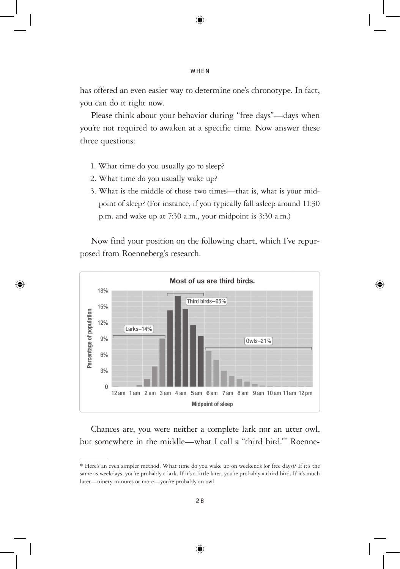⊕

has offered an even easier way to determine one's chronotype. In fact, you can do it right now.

Please think about your behavior during "free days"—days when you're not required to awaken at a specific time. Now answer these three questions:

- 1. What time do you usually go to sleep?
- 2. What time do you usually wake up?

⊕

3. What is the middle of those two times—that is, what is your midpoint of sleep? (For instance, if you typically fall asleep around 11:30 p.m. and wake up at 7:30 a.m., your midpoint is 3:30 a.m.)

Now find your position on the following chart, which I've repurposed from Roenneberg's research.

⊕

![](_page_21_Figure_7.jpeg)

Chances are, you were neither a complete lark nor an utter owl, but somewhere in the middle—what I call a "third bird."\* Roenne-

<sup>\*</sup> Here's an even simpler method. What time do you wake up on weekends (or free days)? If it's the same as weekdays, you're probably a lark. If it's a little later, you're probably a third bird. If it's much later—ninety minutes or more—you're probably an owl.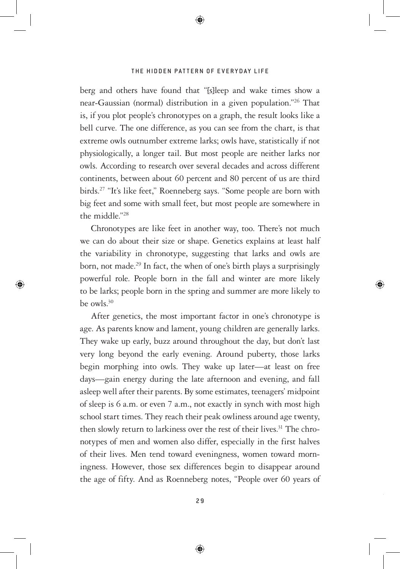⊕

berg and others have found that "[s]leep and wake times show a near-Gaussian (normal) distribution in a given population."26 That is, if you plot people's chronotypes on a graph, the result looks like a bell curve. The one difference, as you can see from the chart, is that extreme owls outnumber extreme larks; owls have, statistically if not physiologically, a longer tail. But most people are neither larks nor owls. According to research over several decades and across different continents, between about 60 percent and 80 percent of us are third birds.27 "It's like feet," Roenneberg says. "Some people are born with big feet and some with small feet, but most people are somewhere in the middle."28

Chronotypes are like feet in another way, too. There's not much we can do about their size or shape. Genetics explains at least half the variability in chronotype, suggesting that larks and owls are born, not made.<sup>29</sup> In fact, the when of one's birth plays a surprisingly powerful role. People born in the fall and winter are more likely to be larks; people born in the spring and summer are more likely to be owls.30

⊕

⊕

After genetics, the most important factor in one's chronotype is age. As parents know and lament, young children are generally larks. They wake up early, buzz around throughout the day, but don't last very long beyond the early evening. Around puberty, those larks begin morphing into owls. They wake up later—at least on free days—gain energy during the late afternoon and evening, and fall asleep well after their parents. By some estimates, teenagers' midpoint of sleep is 6 a.m. or even 7 a.m., not exactly in synch with most high school start times. They reach their peak owliness around age twenty, then slowly return to larkiness over the rest of their lives.<sup>31</sup> The chronotypes of men and women also differ, especially in the first halves of their lives. Men tend toward eveningness, women toward morningness. However, those sex differences begin to disappear around the age of fifty. And as Roenneberg notes, "People over 60 years of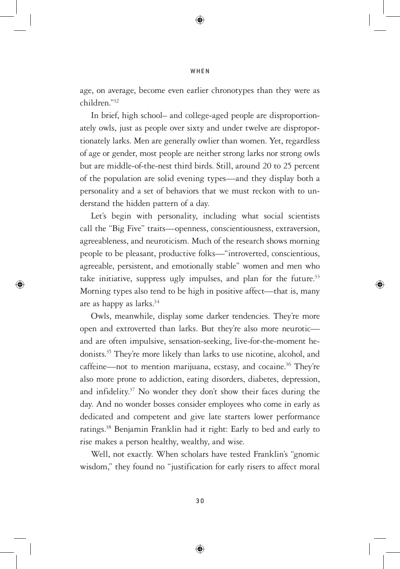age, on average, become even earlier chronotypes than they were as children."32

In brief, high school– and college-aged people are disproportionately owls, just as people over sixty and under twelve are disproportionately larks. Men are generally owlier than women. Yet, regardless of age or gender, most people are neither strong larks nor strong owls but are middle-of-the-nest third birds. Still, around 20 to 25 percent of the population are solid evening types—and they display both a personality and a set of behaviors that we must reckon with to understand the hidden pattern of a day.

Let's begin with personality, including what social scientists call the "Big Five" traits—openness, conscientiousness, extraversion, agreeableness, and neuroticism. Much of the research shows morning people to be pleasant, productive folks—"introverted, conscientious, agreeable, persistent, and emotionally stable" women and men who take initiative, suppress ugly impulses, and plan for the future.<sup>33</sup> Morning types also tend to be high in positive affect—that is, many are as happy as  $larks.^{34}$ 

⊕

⊕

Owls, meanwhile, display some darker tendencies. They're more open and extroverted than larks. But they're also more neurotic and are often impulsive, sensation-seeking, live-for-the-moment hedonists.35 They're more likely than larks to use nicotine, alcohol, and caffeine—not to mention marijuana, ecstasy, and cocaine.<sup>36</sup> They're also more prone to addiction, eating disorders, diabetes, depression, and infidelity.<sup>37</sup> No wonder they don't show their faces during the day. And no wonder bosses consider employees who come in early as dedicated and competent and give late starters lower performance ratings.38 Benjamin Franklin had it right: Early to bed and early to rise makes a person healthy, wealthy, and wise.

Well, not exactly. When scholars have tested Franklin's "gnomic wisdom," they found no "justification for early risers to affect moral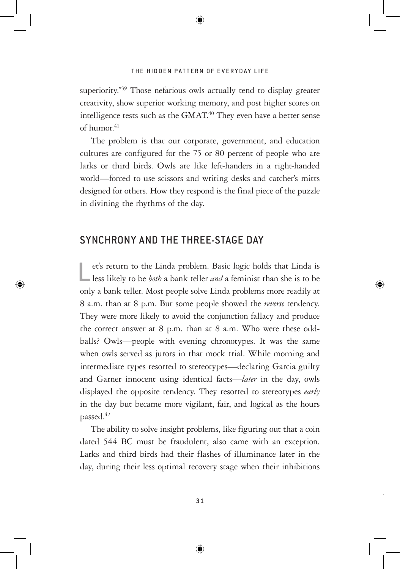⊕

superiority."<sup>39</sup> Those nefarious owls actually tend to display greater creativity, show superior working memory, and post higher scores on intelligence tests such as the GMAT. $40$  They even have a better sense of humor.<sup>41</sup>

The problem is that our corporate, government, and education cultures are configured for the 75 or 80 percent of people who are larks or third birds. Owls are like left-handers in a right-handed world—forced to use scissors and writing desks and catcher's mitts designed for others. How they respond is the final piece of the puzzle in divining the rhythms of the day.

# SYNCHRONY AND THE THREE-STAGE DAY

⊕

Let's return to the Linda problem. Basic logic holds that Linda is less likely to be *both* a bank teller *and* a feminist than she is to be only a bank teller. Most people solve Linda problems more readily at 8 a.m. than at 8 p.m. But some people showed the *reverse* tendency. They were more likely to avoid the conjunction fallacy and produce the correct answer at 8 p.m. than at 8 a.m. Who were these oddballs? Owls—people with evening chronotypes. It was the same when owls served as jurors in that mock trial. While morning and intermediate types resorted to stereotypes—declaring Garcia guilty and Garner innocent using identical facts—*later* in the day, owls displayed the opposite tendency. They resorted to stereotypes *early* in the day but became more vigilant, fair, and logical as the hours passed.<sup>42</sup>

⊕

The ability to solve insight problems, like figuring out that a coin dated 544 BC must be fraudulent, also came with an exception. Larks and third birds had their flashes of illuminance later in the day, during their less optimal recovery stage when their inhibitions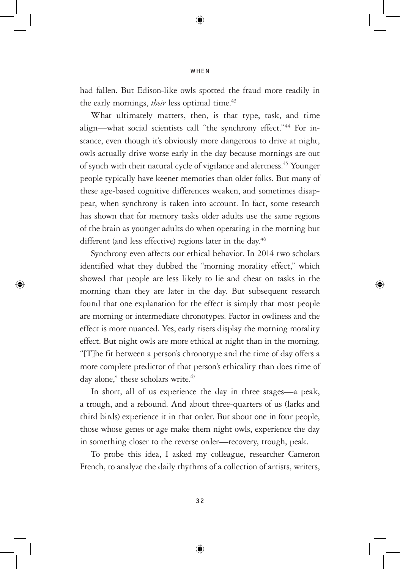⊕

had fallen. But Edison-like owls spotted the fraud more readily in the early mornings, *their* less optimal time.<sup>43</sup>

What ultimately matters, then, is that type, task, and time align—what social scientists call "the synchrony effect."<sup>44</sup> For instance, even though it's obviously more dangerous to drive at night, owls actually drive worse early in the day because mornings are out of synch with their natural cycle of vigilance and alertness.<sup>45</sup> Younger people typically have keener memories than older folks. But many of these age-based cognitive differences weaken, and sometimes disappear, when synchrony is taken into account. In fact, some research has shown that for memory tasks older adults use the same regions of the brain as younger adults do when operating in the morning but different (and less effective) regions later in the day.<sup>46</sup>

Synchrony even affects our ethical behavior. In 2014 two scholars identified what they dubbed the "morning morality effect," which showed that people are less likely to lie and cheat on tasks in the morning than they are later in the day. But subsequent research found that one explanation for the effect is simply that most people are morning or intermediate chronotypes. Factor in owliness and the effect is more nuanced. Yes, early risers display the morning morality effect. But night owls are more ethical at night than in the morning. "[T]he fit between a person's chronotype and the time of day offers a more complete predictor of that person's ethicality than does time of day alone," these scholars write.<sup>47</sup>

⊕

⊕

In short, all of us experience the day in three stages—a peak, a trough, and a rebound. And about three-quarters of us (larks and third birds) experience it in that order. But about one in four people, those whose genes or age make them night owls, experience the day in something closer to the reverse order—recovery, trough, peak.

To probe this idea, I asked my colleague, researcher Cameron French, to analyze the daily rhythms of a collection of artists, writers,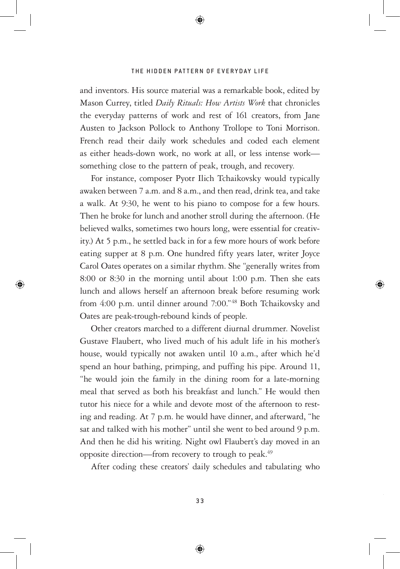⊕

and inventors. His source material was a remarkable book, edited by Mason Currey, titled *Daily Rituals: How Artists Work* that chronicles the everyday patterns of work and rest of 161 creators, from Jane Austen to Jackson Pollock to Anthony Trollope to Toni Morrison. French read their daily work schedules and coded each element as either heads-down work, no work at all, or less intense work something close to the pattern of peak, trough, and recovery.

For instance, composer Pyotr Ilich Tchaikovsky would typically awaken between 7 a.m. and 8 a.m., and then read, drink tea, and take a walk. At 9:30, he went to his piano to compose for a few hours. Then he broke for lunch and another stroll during the afternoon. (He believed walks, sometimes two hours long, were essential for creativity.) At 5 p.m., he settled back in for a few more hours of work before eating supper at 8 p.m. One hundred fifty years later, writer Joyce Carol Oates operates on a similar rhythm. She "generally writes from 8:00 or 8:30 in the morning until about 1:00 p.m. Then she eats lunch and allows herself an afternoon break before resuming work from 4:00 p.m. until dinner around 7:00."48 Both Tchaikovsky and Oates are peak-trough-rebound kinds of people.

⊕

⊕

Other creators marched to a different diurnal drummer. Novelist Gustave Flaubert, who lived much of his adult life in his mother's house, would typically not awaken until 10 a.m., after which he'd spend an hour bathing, primping, and puffing his pipe. Around 11, "he would join the family in the dining room for a late-morning meal that served as both his breakfast and lunch." He would then tutor his niece for a while and devote most of the afternoon to resting and reading. At 7 p.m. he would have dinner, and afterward, "he sat and talked with his mother" until she went to bed around 9 p.m. And then he did his writing. Night owl Flaubert's day moved in an opposite direction—from recovery to trough to peak.<sup>49</sup>

After coding these creators' daily schedules and tabulating who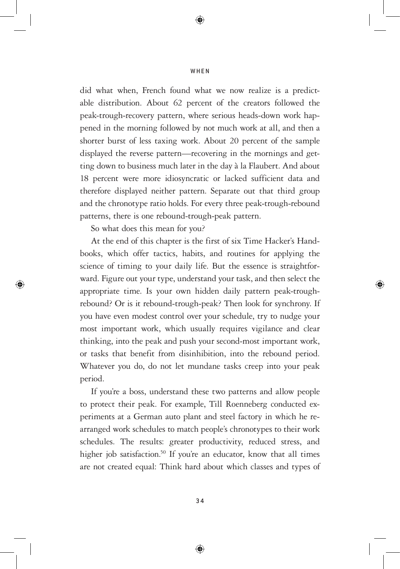⊕

did what when, French found what we now realize is a predictable distribution. About 62 percent of the creators followed the peak-trough-recovery pattern, where serious heads-down work happened in the morning followed by not much work at all, and then a shorter burst of less taxing work. About 20 percent of the sample displayed the reverse pattern—recovering in the mornings and getting down to business much later in the day à la Flaubert. And about 18 percent were more idiosyncratic or lacked sufficient data and therefore displayed neither pattern. Separate out that third group and the chronotype ratio holds. For every three peak-trough-rebound patterns, there is one rebound-trough-peak pattern.

So what does this mean for you?

⊕

At the end of this chapter is the first of six Time Hacker's Handbooks, which offer tactics, habits, and routines for applying the science of timing to your daily life. But the essence is straightforward. Figure out your type, understand your task, and then select the appropriate time. Is your own hidden daily pattern peak-troughrebound? Or is it rebound-trough-peak? Then look for synchrony. If you have even modest control over your schedule, try to nudge your most important work, which usually requires vigilance and clear thinking, into the peak and push your second-most important work, or tasks that benefit from disinhibition, into the rebound period. Whatever you do, do not let mundane tasks creep into your peak period.

⊕

If you're a boss, understand these two patterns and allow people to protect their peak. For example, Till Roenneberg conducted experiments at a German auto plant and steel factory in which he rearranged work schedules to match people's chronotypes to their work schedules. The results: greater productivity, reduced stress, and higher job satisfaction.<sup>50</sup> If you're an educator, know that all times are not created equal: Think hard about which classes and types of